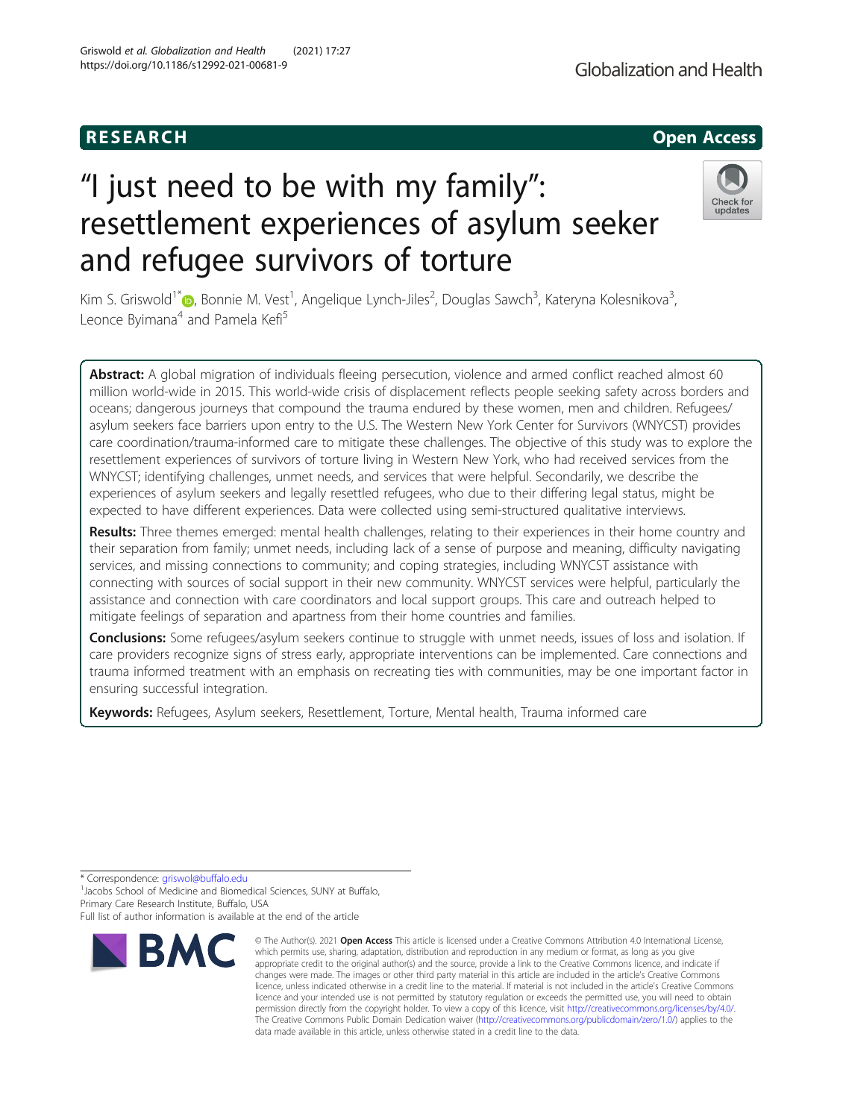# **RESEARCH CHEAR CHEAR CHEAR CHEAR CHEAR CHEAR CHEAR CHEAR CHEAR CHEAR CHEAR CHEAR CHEAR CHEAR CHEAR CHEAR CHEAR**

# "I just need to be with my family": resettlement experiences of asylum seeker and refugee survivors of torture

Kim S. Griswold<sup>1[\\*](http://orcid.org/0000-0002-0321-8879)</sup>©, Bonnie M. Vest<sup>1</sup>, Angelique Lynch-Jiles<sup>2</sup>, Douglas Sawch<sup>3</sup>, Kateryna Kolesnikova<sup>3</sup> , Leonce Byimana<sup>4</sup> and Pamela Kefi<sup>5</sup>

Abstract: A global migration of individuals fleeing persecution, violence and armed conflict reached almost 60 million world-wide in 2015. This world-wide crisis of displacement reflects people seeking safety across borders and oceans; dangerous journeys that compound the trauma endured by these women, men and children. Refugees/ asylum seekers face barriers upon entry to the U.S. The Western New York Center for Survivors (WNYCST) provides care coordination/trauma-informed care to mitigate these challenges. The objective of this study was to explore the resettlement experiences of survivors of torture living in Western New York, who had received services from the WNYCST; identifying challenges, unmet needs, and services that were helpful. Secondarily, we describe the experiences of asylum seekers and legally resettled refugees, who due to their differing legal status, might be expected to have different experiences. Data were collected using semi-structured qualitative interviews.

Results: Three themes emerged: mental health challenges, relating to their experiences in their home country and their separation from family; unmet needs, including lack of a sense of purpose and meaning, difficulty navigating services, and missing connections to community; and coping strategies, including WNYCST assistance with connecting with sources of social support in their new community. WNYCST services were helpful, particularly the assistance and connection with care coordinators and local support groups. This care and outreach helped to mitigate feelings of separation and apartness from their home countries and families.

**Conclusions:** Some refugees/asylum seekers continue to struggle with unmet needs, issues of loss and isolation. If care providers recognize signs of stress early, appropriate interventions can be implemented. Care connections and trauma informed treatment with an emphasis on recreating ties with communities, may be one important factor in ensuring successful integration.

Keywords: Refugees, Asylum seekers, Resettlement, Torture, Mental health, Trauma informed care

\* Correspondence: [griswol@buffalo.edu](mailto:griswol@buffalo.edu) <sup>1</sup>

<sup>1</sup> Jacobs School of Medicine and Biomedical Sciences, SUNY at Buffalo, Primary Care Research Institute, Buffalo, USA

Full list of author information is available at the end of the article



<sup>©</sup> The Author(s), 2021 **Open Access** This article is licensed under a Creative Commons Attribution 4.0 International License, which permits use, sharing, adaptation, distribution and reproduction in any medium or format, as long as you give appropriate credit to the original author(s) and the source, provide a link to the Creative Commons licence, and indicate if changes were made. The images or other third party material in this article are included in the article's Creative Commons licence, unless indicated otherwise in a credit line to the material. If material is not included in the article's Creative Commons licence and your intended use is not permitted by statutory regulation or exceeds the permitted use, you will need to obtain permission directly from the copyright holder. To view a copy of this licence, visit [http://creativecommons.org/licenses/by/4.0/.](http://creativecommons.org/licenses/by/4.0/) The Creative Commons Public Domain Dedication waiver [\(http://creativecommons.org/publicdomain/zero/1.0/](http://creativecommons.org/publicdomain/zero/1.0/)) applies to the data made available in this article, unless otherwise stated in a credit line to the data.

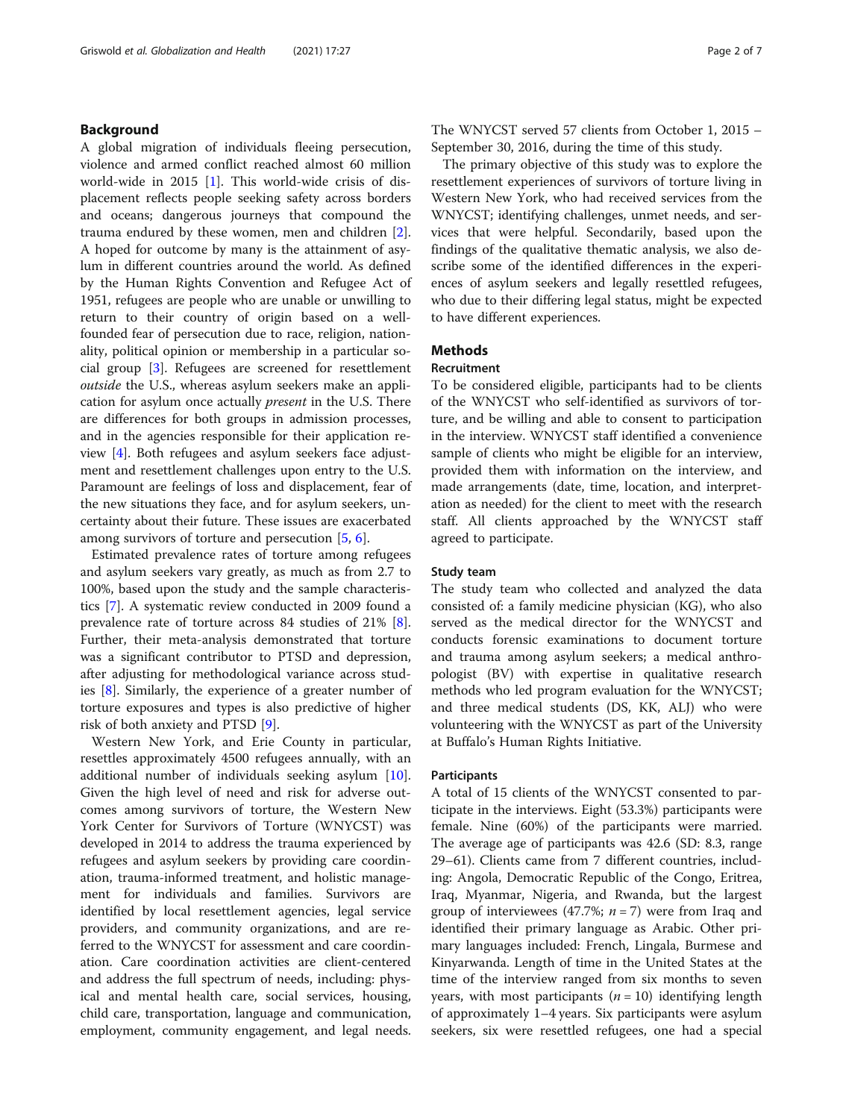# Background

A global migration of individuals fleeing persecution, violence and armed conflict reached almost 60 million world-wide in 2015 [\[1\]](#page-5-0). This world-wide crisis of displacement reflects people seeking safety across borders and oceans; dangerous journeys that compound the trauma endured by these women, men and children [\[2](#page-5-0)]. A hoped for outcome by many is the attainment of asylum in different countries around the world. As defined by the Human Rights Convention and Refugee Act of 1951, refugees are people who are unable or unwilling to return to their country of origin based on a wellfounded fear of persecution due to race, religion, nationality, political opinion or membership in a particular social group [\[3](#page-5-0)]. Refugees are screened for resettlement outside the U.S., whereas asylum seekers make an application for asylum once actually present in the U.S. There are differences for both groups in admission processes, and in the agencies responsible for their application review [\[4](#page-5-0)]. Both refugees and asylum seekers face adjustment and resettlement challenges upon entry to the U.S. Paramount are feelings of loss and displacement, fear of the new situations they face, and for asylum seekers, uncertainty about their future. These issues are exacerbated among survivors of torture and persecution [\[5](#page-5-0), [6](#page-5-0)].

Estimated prevalence rates of torture among refugees and asylum seekers vary greatly, as much as from 2.7 to 100%, based upon the study and the sample characteristics [\[7](#page-5-0)]. A systematic review conducted in 2009 found a prevalence rate of torture across 84 studies of 21% [\[8](#page-5-0)]. Further, their meta-analysis demonstrated that torture was a significant contributor to PTSD and depression, after adjusting for methodological variance across studies [\[8](#page-5-0)]. Similarly, the experience of a greater number of torture exposures and types is also predictive of higher risk of both anxiety and PTSD [[9](#page-5-0)].

Western New York, and Erie County in particular, resettles approximately 4500 refugees annually, with an additional number of individuals seeking asylum [\[10](#page-5-0)]. Given the high level of need and risk for adverse outcomes among survivors of torture, the Western New York Center for Survivors of Torture (WNYCST) was developed in 2014 to address the trauma experienced by refugees and asylum seekers by providing care coordination, trauma-informed treatment, and holistic management for individuals and families. Survivors are identified by local resettlement agencies, legal service providers, and community organizations, and are referred to the WNYCST for assessment and care coordination. Care coordination activities are client-centered and address the full spectrum of needs, including: physical and mental health care, social services, housing, child care, transportation, language and communication, employment, community engagement, and legal needs.

The WNYCST served 57 clients from October 1, 2015 – September 30, 2016, during the time of this study.

The primary objective of this study was to explore the resettlement experiences of survivors of torture living in Western New York, who had received services from the WNYCST; identifying challenges, unmet needs, and services that were helpful. Secondarily, based upon the findings of the qualitative thematic analysis, we also describe some of the identified differences in the experiences of asylum seekers and legally resettled refugees, who due to their differing legal status, might be expected to have different experiences.

# **Methods**

#### Recruitment

To be considered eligible, participants had to be clients of the WNYCST who self-identified as survivors of torture, and be willing and able to consent to participation in the interview. WNYCST staff identified a convenience sample of clients who might be eligible for an interview, provided them with information on the interview, and made arrangements (date, time, location, and interpretation as needed) for the client to meet with the research staff. All clients approached by the WNYCST staff agreed to participate.

## Study team

The study team who collected and analyzed the data consisted of: a family medicine physician (KG), who also served as the medical director for the WNYCST and conducts forensic examinations to document torture and trauma among asylum seekers; a medical anthropologist (BV) with expertise in qualitative research methods who led program evaluation for the WNYCST; and three medical students (DS, KK, ALJ) who were volunteering with the WNYCST as part of the University at Buffalo's Human Rights Initiative.

# Participants

A total of 15 clients of the WNYCST consented to participate in the interviews. Eight (53.3%) participants were female. Nine (60%) of the participants were married. The average age of participants was 42.6 (SD: 8.3, range 29–61). Clients came from 7 different countries, including: Angola, Democratic Republic of the Congo, Eritrea, Iraq, Myanmar, Nigeria, and Rwanda, but the largest group of interviewees (47.7%;  $n = 7$ ) were from Iraq and identified their primary language as Arabic. Other primary languages included: French, Lingala, Burmese and Kinyarwanda. Length of time in the United States at the time of the interview ranged from six months to seven years, with most participants ( $n = 10$ ) identifying length of approximately 1–4 years. Six participants were asylum seekers, six were resettled refugees, one had a special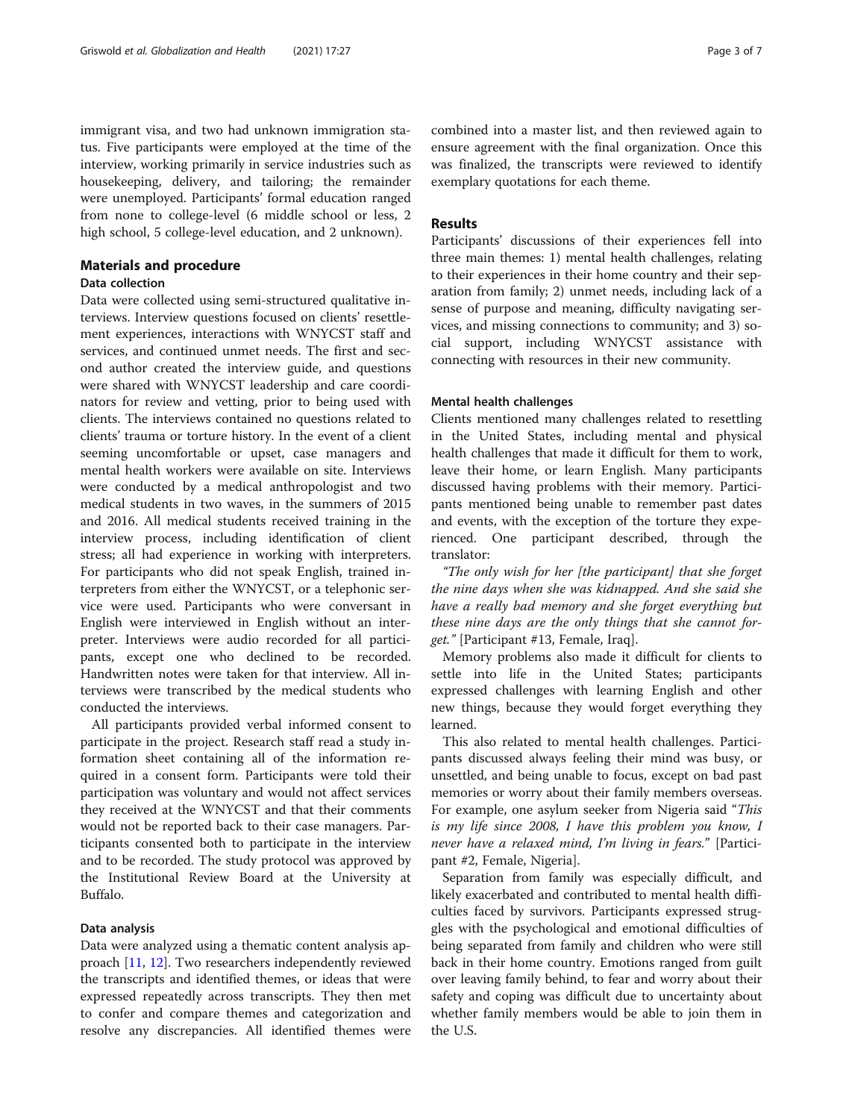immigrant visa, and two had unknown immigration status. Five participants were employed at the time of the interview, working primarily in service industries such as housekeeping, delivery, and tailoring; the remainder were unemployed. Participants' formal education ranged from none to college-level (6 middle school or less, 2 high school, 5 college-level education, and 2 unknown).

# Materials and procedure

# Data collection

Data were collected using semi-structured qualitative interviews. Interview questions focused on clients' resettlement experiences, interactions with WNYCST staff and services, and continued unmet needs. The first and second author created the interview guide, and questions were shared with WNYCST leadership and care coordinators for review and vetting, prior to being used with clients. The interviews contained no questions related to clients' trauma or torture history. In the event of a client seeming uncomfortable or upset, case managers and mental health workers were available on site. Interviews were conducted by a medical anthropologist and two medical students in two waves, in the summers of 2015 and 2016. All medical students received training in the interview process, including identification of client stress; all had experience in working with interpreters. For participants who did not speak English, trained interpreters from either the WNYCST, or a telephonic service were used. Participants who were conversant in English were interviewed in English without an interpreter. Interviews were audio recorded for all participants, except one who declined to be recorded. Handwritten notes were taken for that interview. All interviews were transcribed by the medical students who conducted the interviews.

All participants provided verbal informed consent to participate in the project. Research staff read a study information sheet containing all of the information required in a consent form. Participants were told their participation was voluntary and would not affect services they received at the WNYCST and that their comments would not be reported back to their case managers. Participants consented both to participate in the interview and to be recorded. The study protocol was approved by the Institutional Review Board at the University at Buffalo.

# Data analysis

Data were analyzed using a thematic content analysis approach [[11,](#page-5-0) [12\]](#page-5-0). Two researchers independently reviewed the transcripts and identified themes, or ideas that were expressed repeatedly across transcripts. They then met to confer and compare themes and categorization and resolve any discrepancies. All identified themes were

# Results

Participants' discussions of their experiences fell into three main themes: 1) mental health challenges, relating to their experiences in their home country and their separation from family; 2) unmet needs, including lack of a sense of purpose and meaning, difficulty navigating services, and missing connections to community; and 3) social support, including WNYCST assistance with connecting with resources in their new community.

# Mental health challenges

Clients mentioned many challenges related to resettling in the United States, including mental and physical health challenges that made it difficult for them to work, leave their home, or learn English. Many participants discussed having problems with their memory. Participants mentioned being unable to remember past dates and events, with the exception of the torture they experienced. One participant described, through the translator:

"The only wish for her [the participant] that she forget the nine days when she was kidnapped. And she said she have a really bad memory and she forget everything but these nine days are the only things that she cannot forget." [Participant #13, Female, Iraq].

Memory problems also made it difficult for clients to settle into life in the United States; participants expressed challenges with learning English and other new things, because they would forget everything they learned.

This also related to mental health challenges. Participants discussed always feeling their mind was busy, or unsettled, and being unable to focus, except on bad past memories or worry about their family members overseas. For example, one asylum seeker from Nigeria said "This is my life since 2008, I have this problem you know, I never have a relaxed mind, I'm living in fears." [Participant #2, Female, Nigeria].

Separation from family was especially difficult, and likely exacerbated and contributed to mental health difficulties faced by survivors. Participants expressed struggles with the psychological and emotional difficulties of being separated from family and children who were still back in their home country. Emotions ranged from guilt over leaving family behind, to fear and worry about their safety and coping was difficult due to uncertainty about whether family members would be able to join them in the U.S.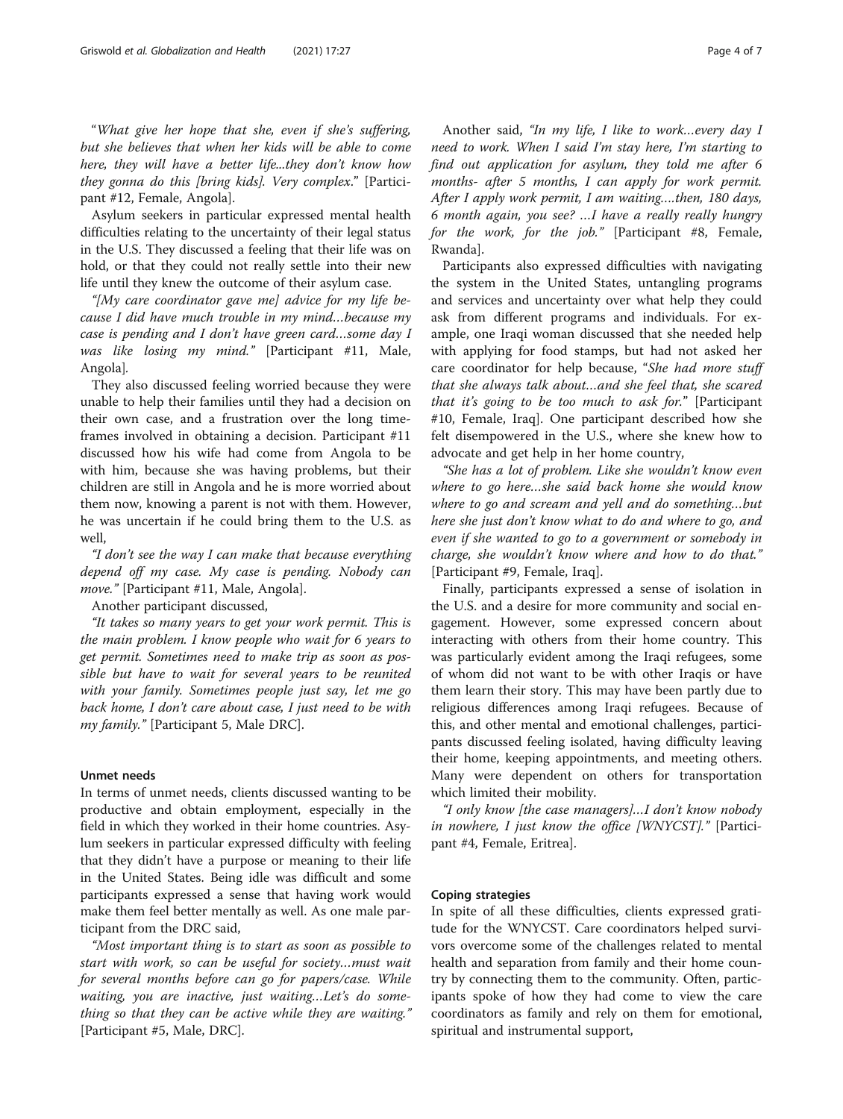"What give her hope that she, even if she's suffering, but she believes that when her kids will be able to come here, they will have a better life...they don't know how they gonna do this [bring kids]. Very complex." [Participant #12, Female, Angola].

Asylum seekers in particular expressed mental health difficulties relating to the uncertainty of their legal status in the U.S. They discussed a feeling that their life was on hold, or that they could not really settle into their new life until they knew the outcome of their asylum case.

"[My care coordinator gave me] advice for my life because I did have much trouble in my mind…because my case is pending and I don't have green card…some day I was like losing my mind." [Participant #11, Male, Angola].

They also discussed feeling worried because they were unable to help their families until they had a decision on their own case, and a frustration over the long timeframes involved in obtaining a decision. Participant #11 discussed how his wife had come from Angola to be with him, because she was having problems, but their children are still in Angola and he is more worried about them now, knowing a parent is not with them. However, he was uncertain if he could bring them to the U.S. as well,

"I don't see the way I can make that because everything depend off my case. My case is pending. Nobody can move." [Participant #11, Male, Angola].

Another participant discussed,

"It takes so many years to get your work permit. This is the main problem. I know people who wait for 6 years to get permit. Sometimes need to make trip as soon as possible but have to wait for several years to be reunited with your family. Sometimes people just say, let me go back home, I don't care about case, I just need to be with my family." [Participant 5, Male DRC].

# Unmet needs

In terms of unmet needs, clients discussed wanting to be productive and obtain employment, especially in the field in which they worked in their home countries. Asylum seekers in particular expressed difficulty with feeling that they didn't have a purpose or meaning to their life in the United States. Being idle was difficult and some participants expressed a sense that having work would make them feel better mentally as well. As one male participant from the DRC said,

"Most important thing is to start as soon as possible to start with work, so can be useful for society…must wait for several months before can go for papers/case. While waiting, you are inactive, just waiting…Let's do something so that they can be active while they are waiting." [Participant #5, Male, DRC].

Another said, "In my life, I like to work…every day I need to work. When I said I'm stay here, I'm starting to find out application for asylum, they told me after 6 months- after 5 months, I can apply for work permit. After I apply work permit, I am waiting….then, 180 days, 6 month again, you see? …I have a really really hungry for the work, for the job." [Participant #8, Female, Rwanda].

Participants also expressed difficulties with navigating the system in the United States, untangling programs and services and uncertainty over what help they could ask from different programs and individuals. For example, one Iraqi woman discussed that she needed help with applying for food stamps, but had not asked her care coordinator for help because, "She had more stuff that she always talk about…and she feel that, she scared that it's going to be too much to ask for." [Participant #10, Female, Iraq]. One participant described how she felt disempowered in the U.S., where she knew how to advocate and get help in her home country,

"She has a lot of problem. Like she wouldn't know even where to go here…she said back home she would know where to go and scream and yell and do something…but here she just don't know what to do and where to go, and even if she wanted to go to a government or somebody in charge, she wouldn't know where and how to do that." [Participant #9, Female, Iraq].

Finally, participants expressed a sense of isolation in the U.S. and a desire for more community and social engagement. However, some expressed concern about interacting with others from their home country. This was particularly evident among the Iraqi refugees, some of whom did not want to be with other Iraqis or have them learn their story. This may have been partly due to religious differences among Iraqi refugees. Because of this, and other mental and emotional challenges, participants discussed feeling isolated, having difficulty leaving their home, keeping appointments, and meeting others. Many were dependent on others for transportation which limited their mobility.

"I only know [the case managers]…I don't know nobody in nowhere, I just know the office [WNYCST]." [Participant #4, Female, Eritrea].

# Coping strategies

In spite of all these difficulties, clients expressed gratitude for the WNYCST. Care coordinators helped survivors overcome some of the challenges related to mental health and separation from family and their home country by connecting them to the community. Often, participants spoke of how they had come to view the care coordinators as family and rely on them for emotional, spiritual and instrumental support,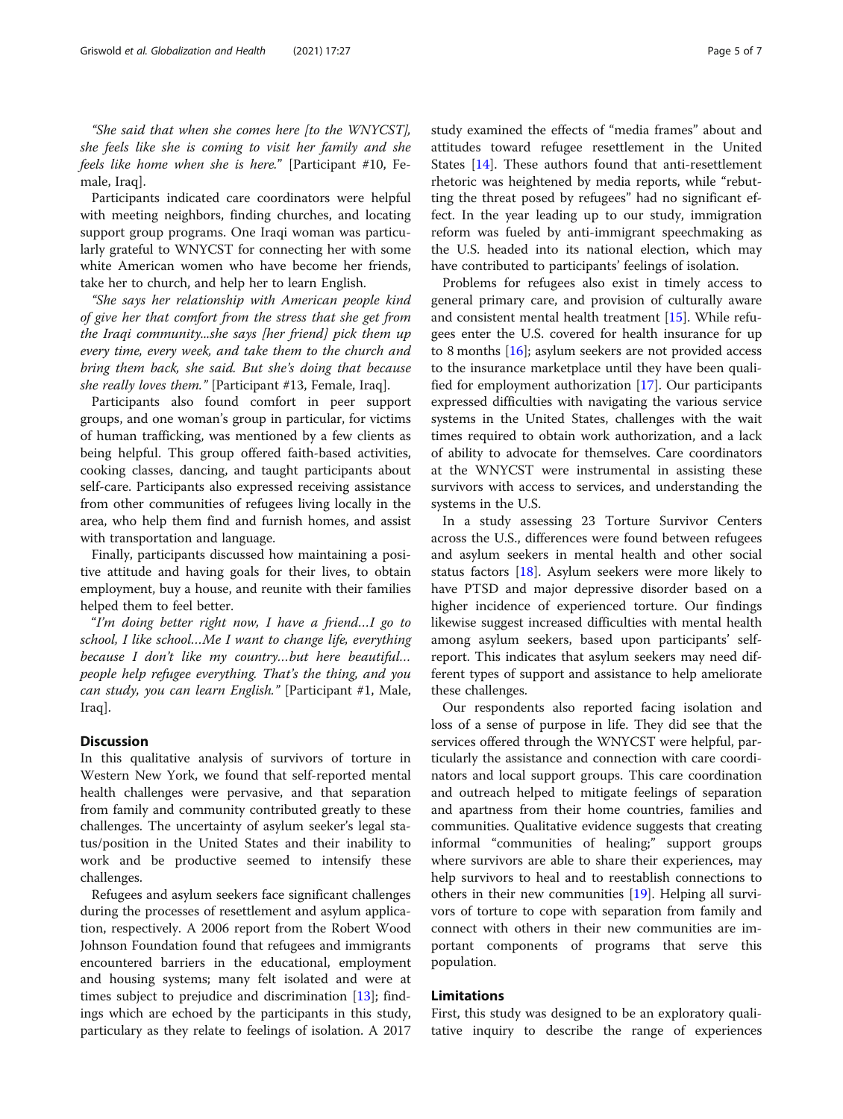"She said that when she comes here [to the WNYCST], she feels like she is coming to visit her family and she feels like home when she is here." [Participant #10, Female, Iraq].

Participants indicated care coordinators were helpful with meeting neighbors, finding churches, and locating support group programs. One Iraqi woman was particularly grateful to WNYCST for connecting her with some white American women who have become her friends, take her to church, and help her to learn English.

"She says her relationship with American people kind of give her that comfort from the stress that she get from the Iraqi community...she says [her friend] pick them up every time, every week, and take them to the church and bring them back, she said. But she's doing that because she really loves them." [Participant #13, Female, Iraq].

Participants also found comfort in peer support groups, and one woman's group in particular, for victims of human trafficking, was mentioned by a few clients as being helpful. This group offered faith-based activities, cooking classes, dancing, and taught participants about self-care. Participants also expressed receiving assistance from other communities of refugees living locally in the area, who help them find and furnish homes, and assist with transportation and language.

Finally, participants discussed how maintaining a positive attitude and having goals for their lives, to obtain employment, buy a house, and reunite with their families helped them to feel better.

"I'm doing better right now, I have a friend…I go to school, I like school…Me I want to change life, everything because I don't like my country…but here beautiful… people help refugee everything. That's the thing, and you can study, you can learn English." [Participant #1, Male, Iraq].

# **Discussion**

In this qualitative analysis of survivors of torture in Western New York, we found that self-reported mental health challenges were pervasive, and that separation from family and community contributed greatly to these challenges. The uncertainty of asylum seeker's legal status/position in the United States and their inability to work and be productive seemed to intensify these challenges.

Refugees and asylum seekers face significant challenges during the processes of resettlement and asylum application, respectively. A 2006 report from the Robert Wood Johnson Foundation found that refugees and immigrants encountered barriers in the educational, employment and housing systems; many felt isolated and were at times subject to prejudice and discrimination [\[13\]](#page-5-0); findings which are echoed by the participants in this study, particulary as they relate to feelings of isolation. A 2017 study examined the effects of "media frames" about and attitudes toward refugee resettlement in the United States [\[14](#page-5-0)]. These authors found that anti-resettlement rhetoric was heightened by media reports, while "rebutting the threat posed by refugees" had no significant effect. In the year leading up to our study, immigration reform was fueled by anti-immigrant speechmaking as the U.S. headed into its national election, which may have contributed to participants' feelings of isolation.

Problems for refugees also exist in timely access to general primary care, and provision of culturally aware and consistent mental health treatment [[15\]](#page-5-0). While refugees enter the U.S. covered for health insurance for up to 8 months  $[16]$ ; asylum seekers are not provided access to the insurance marketplace until they have been qualified for employment authorization [[17](#page-6-0)]. Our participants expressed difficulties with navigating the various service systems in the United States, challenges with the wait times required to obtain work authorization, and a lack of ability to advocate for themselves. Care coordinators at the WNYCST were instrumental in assisting these survivors with access to services, and understanding the systems in the U.S.

In a study assessing 23 Torture Survivor Centers across the U.S., differences were found between refugees and asylum seekers in mental health and other social status factors [\[18](#page-6-0)]. Asylum seekers were more likely to have PTSD and major depressive disorder based on a higher incidence of experienced torture. Our findings likewise suggest increased difficulties with mental health among asylum seekers, based upon participants' selfreport. This indicates that asylum seekers may need different types of support and assistance to help ameliorate these challenges.

Our respondents also reported facing isolation and loss of a sense of purpose in life. They did see that the services offered through the WNYCST were helpful, particularly the assistance and connection with care coordinators and local support groups. This care coordination and outreach helped to mitigate feelings of separation and apartness from their home countries, families and communities. Qualitative evidence suggests that creating informal "communities of healing;" support groups where survivors are able to share their experiences, may help survivors to heal and to reestablish connections to others in their new communities [[19](#page-6-0)]. Helping all survivors of torture to cope with separation from family and connect with others in their new communities are important components of programs that serve this population.

# Limitations

First, this study was designed to be an exploratory qualitative inquiry to describe the range of experiences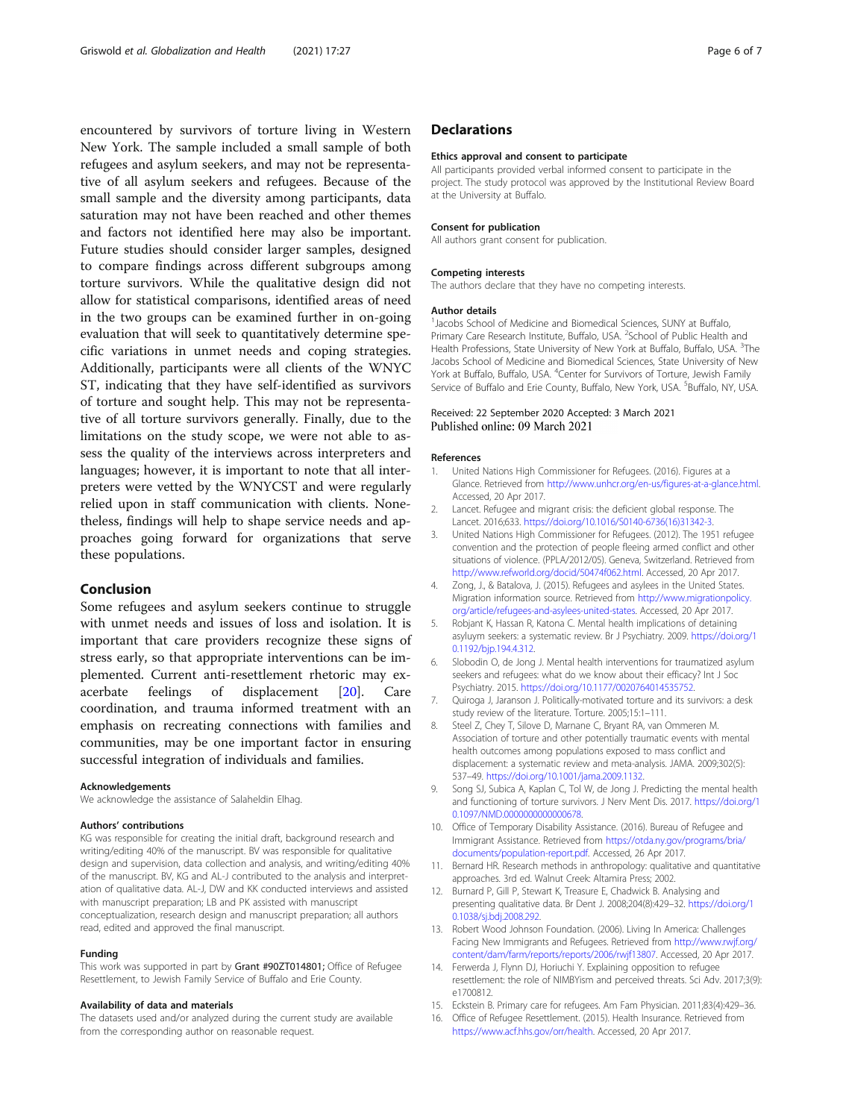<span id="page-5-0"></span>encountered by survivors of torture living in Western New York. The sample included a small sample of both refugees and asylum seekers, and may not be representative of all asylum seekers and refugees. Because of the small sample and the diversity among participants, data saturation may not have been reached and other themes and factors not identified here may also be important. Future studies should consider larger samples, designed to compare findings across different subgroups among torture survivors. While the qualitative design did not allow for statistical comparisons, identified areas of need in the two groups can be examined further in on-going evaluation that will seek to quantitatively determine specific variations in unmet needs and coping strategies. Additionally, participants were all clients of the WNYC ST, indicating that they have self-identified as survivors of torture and sought help. This may not be representative of all torture survivors generally. Finally, due to the limitations on the study scope, we were not able to assess the quality of the interviews across interpreters and languages; however, it is important to note that all interpreters were vetted by the WNYCST and were regularly relied upon in staff communication with clients. Nonetheless, findings will help to shape service needs and approaches going forward for organizations that serve these populations.

# Conclusion

Some refugees and asylum seekers continue to struggle with unmet needs and issues of loss and isolation. It is important that care providers recognize these signs of stress early, so that appropriate interventions can be implemented. Current anti-resettlement rhetoric may exacerbate feelings of displacement [\[20](#page-6-0)]. Care coordination, and trauma informed treatment with an emphasis on recreating connections with families and communities, may be one important factor in ensuring successful integration of individuals and families.

#### Acknowledgements

We acknowledge the assistance of Salaheldin Elhag.

#### Authors' contributions

KG was responsible for creating the initial draft, background research and writing/editing 40% of the manuscript. BV was responsible for qualitative design and supervision, data collection and analysis, and writing/editing 40% of the manuscript. BV, KG and AL-J contributed to the analysis and interpretation of qualitative data. AL-J, DW and KK conducted interviews and assisted with manuscript preparation; LB and PK assisted with manuscript conceptualization, research design and manuscript preparation; all authors read, edited and approved the final manuscript.

#### Funding

This work was supported in part by Grant #90ZT014801; Office of Refugee Resettlement, to Jewish Family Service of Buffalo and Erie County.

# Availability of data and materials

The datasets used and/or analyzed during the current study are available from the corresponding author on reasonable request.

# **Declarations**

#### Ethics approval and consent to participate

All participants provided verbal informed consent to participate in the project. The study protocol was approved by the Institutional Review Board at the University at Buffalo.

#### Consent for publication

All authors grant consent for publication.

#### Competing interests

The authors declare that they have no competing interests.

#### Author details

<sup>1</sup> Jacobs School of Medicine and Biomedical Sciences, SUNY at Buffalo Primary Care Research Institute, Buffalo, USA. <sup>2</sup>School of Public Health and Health Professions, State University of New York at Buffalo, Buffalo, USA. <sup>3</sup>The Jacobs School of Medicine and Biomedical Sciences, State University of New York at Buffalo, Buffalo, USA. <sup>4</sup>Center for Survivors of Torture, Jewish Family Service of Buffalo and Erie County, Buffalo, New York, USA. <sup>5</sup>Buffalo, NY, USA

# Received: 22 September 2020 Accepted: 3 March 2021

#### References

- 1. United Nations High Commissioner for Refugees. (2016). Figures at a Glance. Retrieved from <http://www.unhcr.org/en-us/figures-at-a-glance.html>. Accessed, 20 Apr 2017.
- 2. Lancet. Refugee and migrant crisis: the deficient global response. The Lancet. 2016;633. [https://doi.org/10.1016/S0140-6736\(16\)31342-3](https://doi.org/10.1016/S0140-6736(16)31342-3).
- 3. United Nations High Commissioner for Refugees. (2012). The 1951 refugee convention and the protection of people fleeing armed conflict and other situations of violence. (PPLA/2012/05). Geneva, Switzerland. Retrieved from <http://www.refworld.org/docid/50474f062.html>. Accessed, 20 Apr 2017.
- 4. Zong, J., & Batalova, J. (2015). Refugees and asylees in the United States. Migration information source. Retrieved from [http://www.migrationpolicy.](http://www.migrationpolicy.org/article/refugees-and-asylees-united-states) [org/article/refugees-and-asylees-united-states](http://www.migrationpolicy.org/article/refugees-and-asylees-united-states). Accessed, 20 Apr 2017.
- 5. Robjant K, Hassan R, Katona C. Mental health implications of detaining asyluym seekers: a systematic review. Br J Psychiatry. 2009. [https://doi.org/1](https://doi.org/10.1192/bjp.194.4.312) [0.1192/bjp.194.4.312](https://doi.org/10.1192/bjp.194.4.312).
- 6. Slobodin O, de Jong J. Mental health interventions for traumatized asylum seekers and refugees: what do we know about their efficacy? Int J Soc Psychiatry. 2015. <https://doi.org/10.1177/0020764014535752>.
- 7. Quiroga J, Jaranson J. Politically-motivated torture and its survivors: a desk study review of the literature. Torture. 2005;15:1–111.
- 8. Steel Z, Chey T, Silove D, Marnane C, Bryant RA, van Ommeren M. Association of torture and other potentially traumatic events with mental health outcomes among populations exposed to mass conflict and displacement: a systematic review and meta-analysis. JAMA. 2009;302(5): 537–49. <https://doi.org/10.1001/jama.2009.1132>.
- 9. Song SJ, Subica A, Kaplan C, Tol W, de Jong J. Predicting the mental health and functioning of torture survivors. J Nerv Ment Dis. 2017. [https://doi.org/1](https://doi.org/10.1097/NMD.0000000000000678) [0.1097/NMD.0000000000000678.](https://doi.org/10.1097/NMD.0000000000000678)
- 10. Office of Temporary Disability Assistance. (2016). Bureau of Refugee and Immigrant Assistance. Retrieved from [https://otda.ny.gov/programs/bria/](https://otda.ny.gov/programs/bria/documents/population-report.pdf) [documents/population-report.pdf](https://otda.ny.gov/programs/bria/documents/population-report.pdf). Accessed, 26 Apr 2017.
- 11. Bernard HR. Research methods in anthropology: qualitative and quantitative approaches. 3rd ed. Walnut Creek: Altamira Press; 2002.
- 12. Burnard P, Gill P, Stewart K, Treasure E, Chadwick B. Analysing and presenting qualitative data. Br Dent J. 2008;204(8):429–32. [https://doi.org/1](https://doi.org/10.1038/sj.bdj.2008.292) [0.1038/sj.bdj.2008.292](https://doi.org/10.1038/sj.bdj.2008.292).
- 13. Robert Wood Johnson Foundation. (2006). Living In America: Challenges Facing New Immigrants and Refugees. Retrieved from [http://www.rwjf.org/](http://www.rwjf.org/content/dam/farm/reports/reports/2006/rwjf13807) [content/dam/farm/reports/reports/2006/rwjf13807.](http://www.rwjf.org/content/dam/farm/reports/reports/2006/rwjf13807) Accessed, 20 Apr 2017.
- 14. Ferwerda J, Flynn DJ, Horiuchi Y. Explaining opposition to refugee resettlement: the role of NIMBYism and perceived threats. Sci Adv. 2017;3(9): e1700812.
- 15. Eckstein B. Primary care for refugees. Am Fam Physician. 2011;83(4):429–36.
- 16. Office of Refugee Resettlement. (2015). Health Insurance. Retrieved from <https://www.acf.hhs.gov/orr/health>. Accessed, 20 Apr 2017.